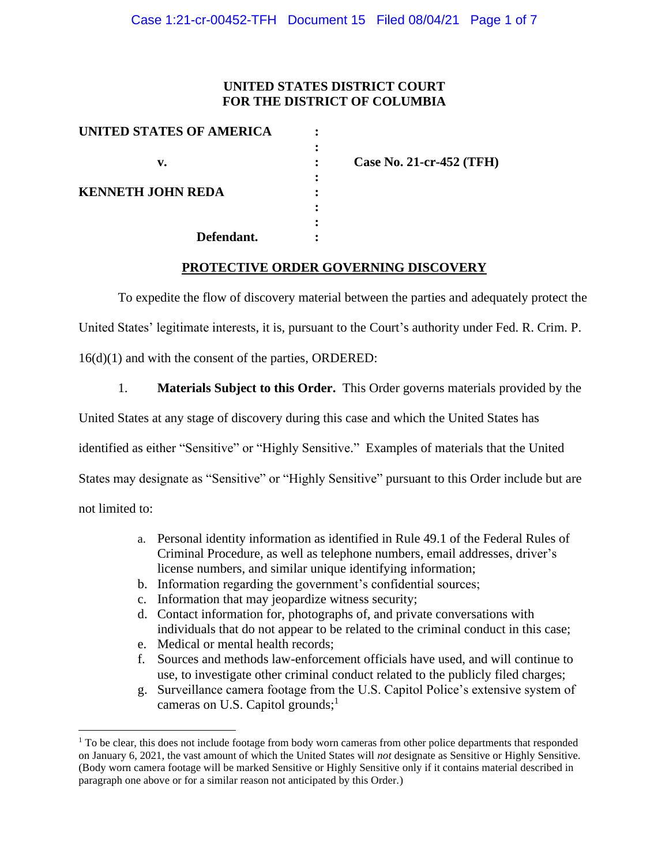## **UNITED STATES DISTRICT COURT FOR THE DISTRICT OF COLUMBIA**

| <b>UNITED STATES OF AMERICA</b> |                          |
|---------------------------------|--------------------------|
|                                 |                          |
| v.                              | Case No. 21-cr-452 (TFH) |
|                                 |                          |
| <b>KENNETH JOHN REDA</b>        |                          |
|                                 |                          |
|                                 |                          |
| Defendant.                      |                          |

#### **PROTECTIVE ORDER GOVERNING DISCOVERY**

To expedite the flow of discovery material between the parties and adequately protect the

United States' legitimate interests, it is, pursuant to the Court's authority under Fed. R. Crim. P.

16(d)(1) and with the consent of the parties, ORDERED:

1. **Materials Subject to this Order.** This Order governs materials provided by the

United States at any stage of discovery during this case and which the United States has

identified as either "Sensitive" or "Highly Sensitive." Examples of materials that the United

States may designate as "Sensitive" or "Highly Sensitive" pursuant to this Order include but are

not limited to:

- a. Personal identity information as identified in Rule 49.1 of the Federal Rules of Criminal Procedure, as well as telephone numbers, email addresses, driver's license numbers, and similar unique identifying information;
- b. Information regarding the government's confidential sources;
- c. Information that may jeopardize witness security;
- d. Contact information for, photographs of, and private conversations with individuals that do not appear to be related to the criminal conduct in this case;
- e. Medical or mental health records;
- f. Sources and methods law-enforcement officials have used, and will continue to use, to investigate other criminal conduct related to the publicly filed charges;
- g. Surveillance camera footage from the U.S. Capitol Police's extensive system of cameras on U.S. Capitol grounds;<sup>1</sup>

 $<sup>1</sup>$  To be clear, this does not include footage from body worn cameras from other police departments that responded</sup> on January 6, 2021, the vast amount of which the United States will *not* designate as Sensitive or Highly Sensitive. (Body worn camera footage will be marked Sensitive or Highly Sensitive only if it contains material described in paragraph one above or for a similar reason not anticipated by this Order.)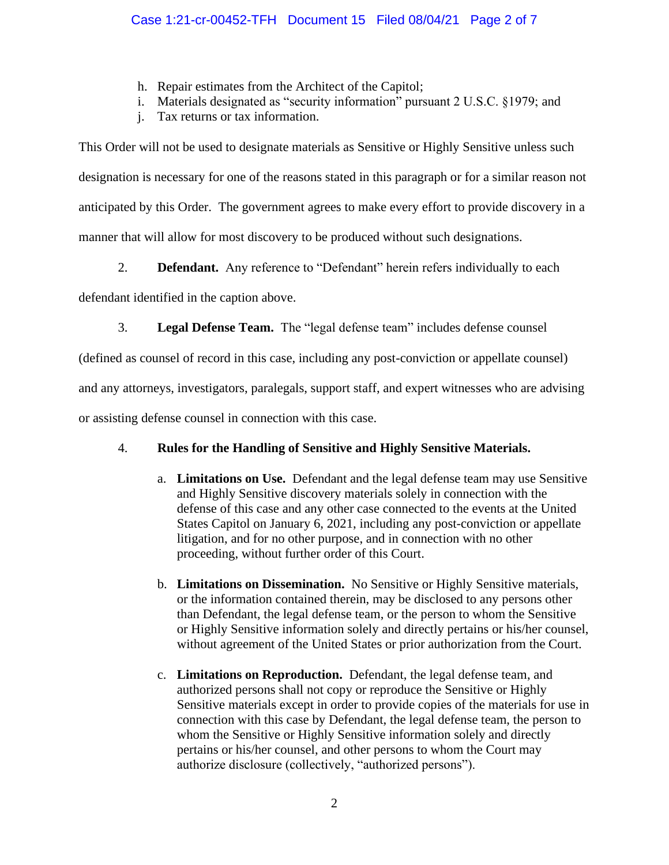- h. Repair estimates from the Architect of the Capitol;
- i. Materials designated as "security information" pursuant 2 U.S.C. §1979; and
- j. Tax returns or tax information.

This Order will not be used to designate materials as Sensitive or Highly Sensitive unless such designation is necessary for one of the reasons stated in this paragraph or for a similar reason not anticipated by this Order. The government agrees to make every effort to provide discovery in a manner that will allow for most discovery to be produced without such designations.

2. **Defendant.** Any reference to "Defendant" herein refers individually to each

defendant identified in the caption above.

3. **Legal Defense Team.** The "legal defense team" includes defense counsel

(defined as counsel of record in this case, including any post-conviction or appellate counsel)

and any attorneys, investigators, paralegals, support staff, and expert witnesses who are advising

or assisting defense counsel in connection with this case.

# 4. **Rules for the Handling of Sensitive and Highly Sensitive Materials.**

- a. **Limitations on Use.** Defendant and the legal defense team may use Sensitive and Highly Sensitive discovery materials solely in connection with the defense of this case and any other case connected to the events at the United States Capitol on January 6, 2021, including any post-conviction or appellate litigation, and for no other purpose, and in connection with no other proceeding, without further order of this Court.
- b. **Limitations on Dissemination.** No Sensitive or Highly Sensitive materials, or the information contained therein, may be disclosed to any persons other than Defendant, the legal defense team, or the person to whom the Sensitive or Highly Sensitive information solely and directly pertains or his/her counsel, without agreement of the United States or prior authorization from the Court.
- c. **Limitations on Reproduction.** Defendant, the legal defense team, and authorized persons shall not copy or reproduce the Sensitive or Highly Sensitive materials except in order to provide copies of the materials for use in connection with this case by Defendant, the legal defense team, the person to whom the Sensitive or Highly Sensitive information solely and directly pertains or his/her counsel, and other persons to whom the Court may authorize disclosure (collectively, "authorized persons").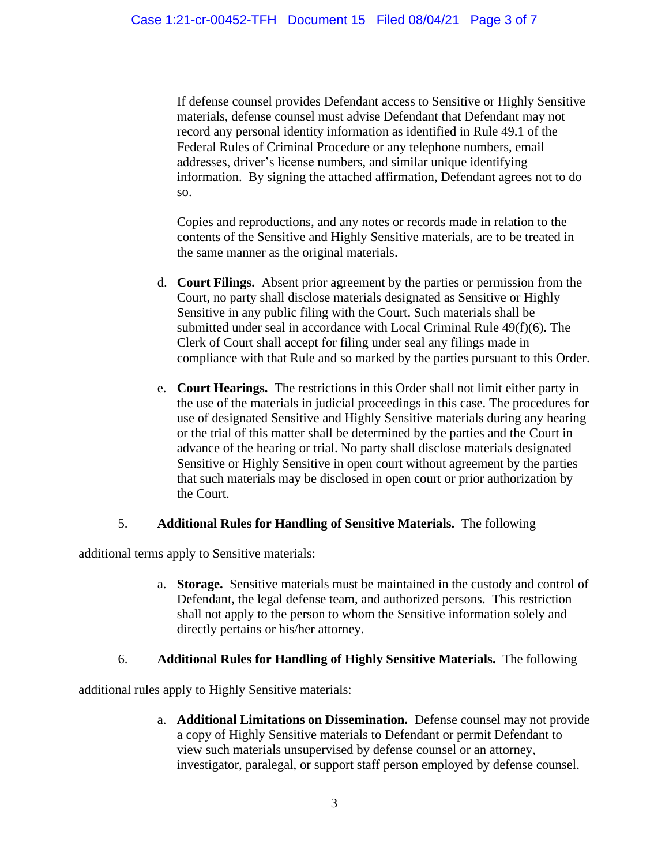If defense counsel provides Defendant access to Sensitive or Highly Sensitive materials, defense counsel must advise Defendant that Defendant may not record any personal identity information as identified in Rule 49.1 of the Federal Rules of Criminal Procedure or any telephone numbers, email addresses, driver's license numbers, and similar unique identifying information. By signing the attached affirmation, Defendant agrees not to do so.

Copies and reproductions, and any notes or records made in relation to the contents of the Sensitive and Highly Sensitive materials, are to be treated in the same manner as the original materials.

- d. **Court Filings.** Absent prior agreement by the parties or permission from the Court, no party shall disclose materials designated as Sensitive or Highly Sensitive in any public filing with the Court. Such materials shall be submitted under seal in accordance with Local Criminal Rule 49(f)(6). The Clerk of Court shall accept for filing under seal any filings made in compliance with that Rule and so marked by the parties pursuant to this Order.
- e. **Court Hearings.** The restrictions in this Order shall not limit either party in the use of the materials in judicial proceedings in this case. The procedures for use of designated Sensitive and Highly Sensitive materials during any hearing or the trial of this matter shall be determined by the parties and the Court in advance of the hearing or trial. No party shall disclose materials designated Sensitive or Highly Sensitive in open court without agreement by the parties that such materials may be disclosed in open court or prior authorization by the Court.

## 5. **Additional Rules for Handling of Sensitive Materials.** The following

additional terms apply to Sensitive materials:

a. **Storage.** Sensitive materials must be maintained in the custody and control of Defendant, the legal defense team, and authorized persons. This restriction shall not apply to the person to whom the Sensitive information solely and directly pertains or his/her attorney.

## 6. **Additional Rules for Handling of Highly Sensitive Materials.** The following

additional rules apply to Highly Sensitive materials:

a. **Additional Limitations on Dissemination.** Defense counsel may not provide a copy of Highly Sensitive materials to Defendant or permit Defendant to view such materials unsupervised by defense counsel or an attorney, investigator, paralegal, or support staff person employed by defense counsel.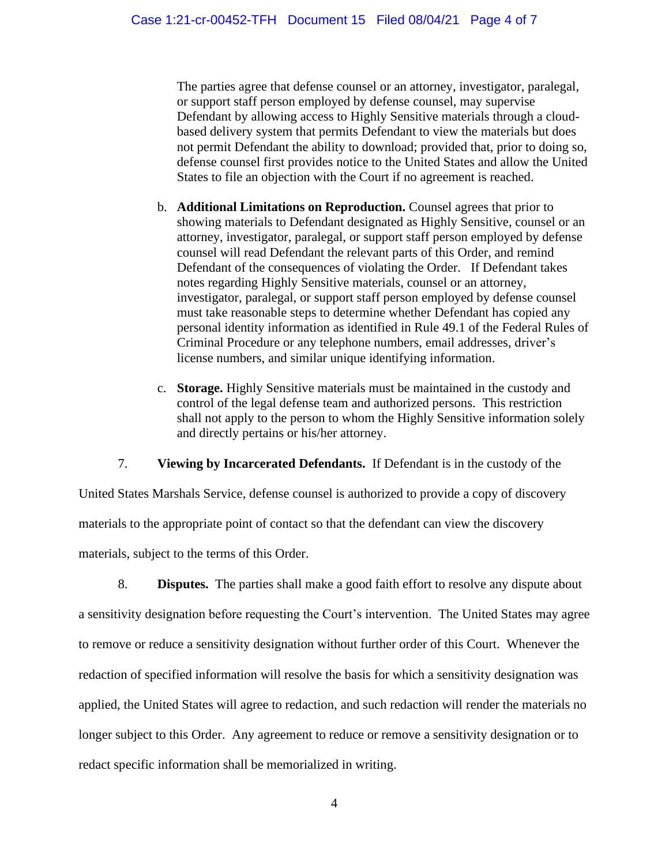The parties agree that defense counsel or an attorney, investigator, paralegal, or support staff person employed by defense counsel, may supervise Defendant by allowing access to Highly Sensitive materials through a cloudbased delivery system that permits Defendant to view the materials but does not permit Defendant the ability to download; provided that, prior to doing so, defense counsel first provides notice to the United States and allow the United States to file an objection with the Court if no agreement is reached.

- b. **Additional Limitations on Reproduction.** Counsel agrees that prior to showing materials to Defendant designated as Highly Sensitive, counsel or an attorney, investigator, paralegal, or support staff person employed by defense counsel will read Defendant the relevant parts of this Order, and remind Defendant of the consequences of violating the Order. If Defendant takes notes regarding Highly Sensitive materials, counsel or an attorney, investigator, paralegal, or support staff person employed by defense counsel must take reasonable steps to determine whether Defendant has copied any personal identity information as identified in Rule 49.1 of the Federal Rules of Criminal Procedure or any telephone numbers, email addresses, driver's license numbers, and similar unique identifying information.
- c. **Storage.** Highly Sensitive materials must be maintained in the custody and control of the legal defense team and authorized persons. This restriction shall not apply to the person to whom the Highly Sensitive information solely and directly pertains or his/her attorney.

7. **Viewing by Incarcerated Defendants.** If Defendant is in the custody of the

United States Marshals Service, defense counsel is authorized to provide a copy of discovery materials to the appropriate point of contact so that the defendant can view the discovery materials, subject to the terms of this Order.

8. **Disputes.** The parties shall make a good faith effort to resolve any dispute about a sensitivity designation before requesting the Court's intervention. The United States may agree to remove or reduce a sensitivity designation without further order of this Court. Whenever the redaction of specified information will resolve the basis for which a sensitivity designation was applied, the United States will agree to redaction, and such redaction will render the materials no longer subject to this Order. Any agreement to reduce or remove a sensitivity designation or to redact specific information shall be memorialized in writing.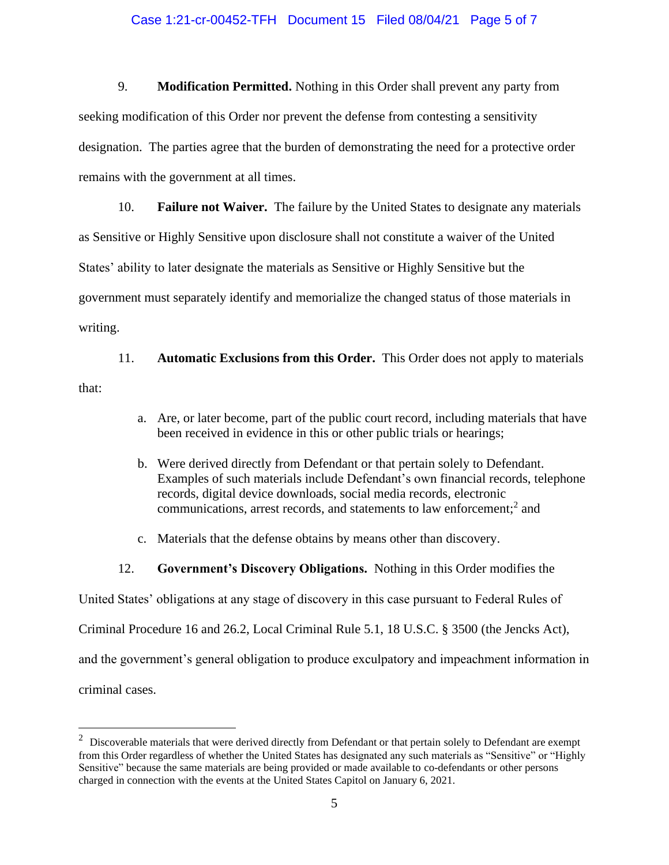#### Case 1:21-cr-00452-TFH Document 15 Filed 08/04/21 Page 5 of 7

9. **Modification Permitted.** Nothing in this Order shall prevent any party from seeking modification of this Order nor prevent the defense from contesting a sensitivity designation. The parties agree that the burden of demonstrating the need for a protective order remains with the government at all times.

10. **Failure not Waiver.** The failure by the United States to designate any materials as Sensitive or Highly Sensitive upon disclosure shall not constitute a waiver of the United States' ability to later designate the materials as Sensitive or Highly Sensitive but the government must separately identify and memorialize the changed status of those materials in writing.

11. **Automatic Exclusions from this Order.** This Order does not apply to materials that:

- a. Are, or later become, part of the public court record, including materials that have been received in evidence in this or other public trials or hearings;
- b. Were derived directly from Defendant or that pertain solely to Defendant. Examples of such materials include Defendant's own financial records, telephone records, digital device downloads, social media records, electronic communications, arrest records, and statements to law enforcement; 2 and
- c. Materials that the defense obtains by means other than discovery.
- 12. **Government's Discovery Obligations.** Nothing in this Order modifies the

United States' obligations at any stage of discovery in this case pursuant to Federal Rules of

Criminal Procedure 16 and 26.2, Local Criminal Rule 5.1, 18 U.S.C. § 3500 (the Jencks Act),

and the government's general obligation to produce exculpatory and impeachment information in

criminal cases.

 $2$  Discoverable materials that were derived directly from Defendant or that pertain solely to Defendant are exempt from this Order regardless of whether the United States has designated any such materials as "Sensitive" or "Highly Sensitive" because the same materials are being provided or made available to co-defendants or other persons charged in connection with the events at the United States Capitol on January 6, 2021.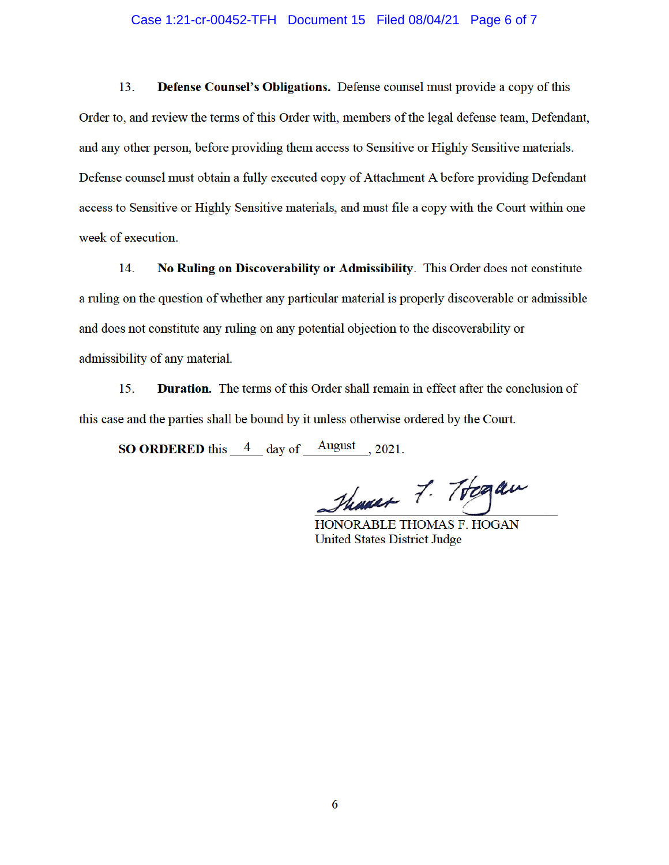#### Case 1:21-cr-00452-TFH Document 15 Filed 08/04/21 Page 6 of 7

 $13.$ Defense Counsel's Obligations. Defense counsel must provide a copy of this Order to, and review the terms of this Order with, members of the legal defense team, Defendant, and any other person, before providing them access to Sensitive or Highly Sensitive materials. Defense counsel must obtain a fully executed copy of Attachment A before providing Defendant access to Sensitive or Highly Sensitive materials, and must file a copy with the Court within one week of execution.

No Ruling on Discoverability or Admissibility. This Order does not constitute 14. a ruling on the question of whether any particular material is properly discoverable or admissible and does not constitute any ruling on any potential objection to the discoverability or admissibility of any material.

**Duration.** The terms of this Order shall remain in effect after the conclusion of 15. this case and the parties shall be bound by it unless otherwise ordered by the Court.

**SO ORDERED** this  $4$  day of August , 2021.

Thomas 7. Togan

HONORABLE THOMAS F. HOGAN **United States District Judge**